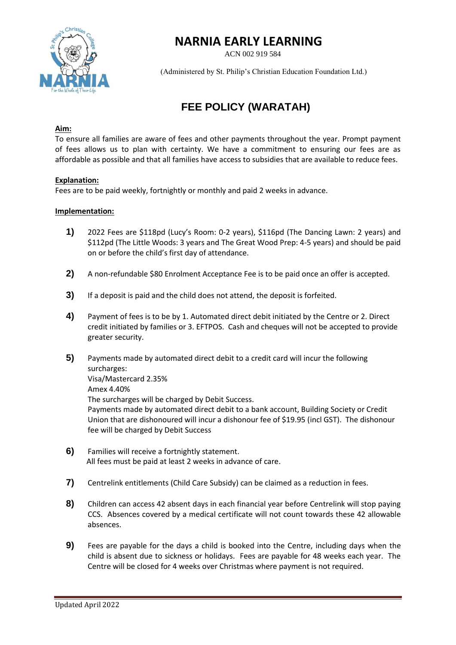

## **NARNIA EARLY LEARNING**

ACN 002 919 584

(Administered by St. Philip's Christian Education Foundation Ltd.)

# **FEE POLICY (WARATAH)**

### **Aim:**

To ensure all families are aware of fees and other payments throughout the year. Prompt payment of fees allows us to plan with certainty. We have a commitment to ensuring our fees are as affordable as possible and that all families have access to subsidies that are available to reduce fees.

### **Explanation:**

Fees are to be paid weekly, fortnightly or monthly and paid 2 weeks in advance.

#### **Implementation:**

- **1)** 2022 Fees are \$118pd (Lucy's Room: 0-2 years), \$116pd (The Dancing Lawn: 2 years) and \$112pd (The Little Woods: 3 years and The Great Wood Prep: 4-5 years) and should be paid on or before the child's first day of attendance.
- **2)** A non-refundable \$80 Enrolment Acceptance Fee is to be paid once an offer is accepted.
- **3)** If a deposit is paid and the child does not attend, the deposit is forfeited.
- **4)** Payment of fees is to be by 1. Automated direct debit initiated by the Centre or 2. Direct credit initiated by families or 3. EFTPOS. Cash and cheques will not be accepted to provide greater security.
- **5)** Payments made by automated direct debit to a credit card will incur the following surcharges: Visa/Mastercard 2.35% Amex 4.40% The surcharges will be charged by Debit Success. Payments made by automated direct debit to a bank account, Building Society or Credit Union that are dishonoured will incur a dishonour fee of \$19.95 (incl GST). The dishonour fee will be charged by Debit Success
- **6)** Families will receive a fortnightly statement. All fees must be paid at least 2 weeks in advance of care.
- **7)** Centrelink entitlements (Child Care Subsidy) can be claimed as a reduction in fees.
- **8)** Children can access 42 absent days in each financial year before Centrelink will stop paying CCS. Absences covered by a medical certificate will not count towards these 42 allowable absences.
- **9)** Fees are payable for the days a child is booked into the Centre, including days when the child is absent due to sickness or holidays. Fees are payable for 48 weeks each year. The Centre will be closed for 4 weeks over Christmas where payment is not required.